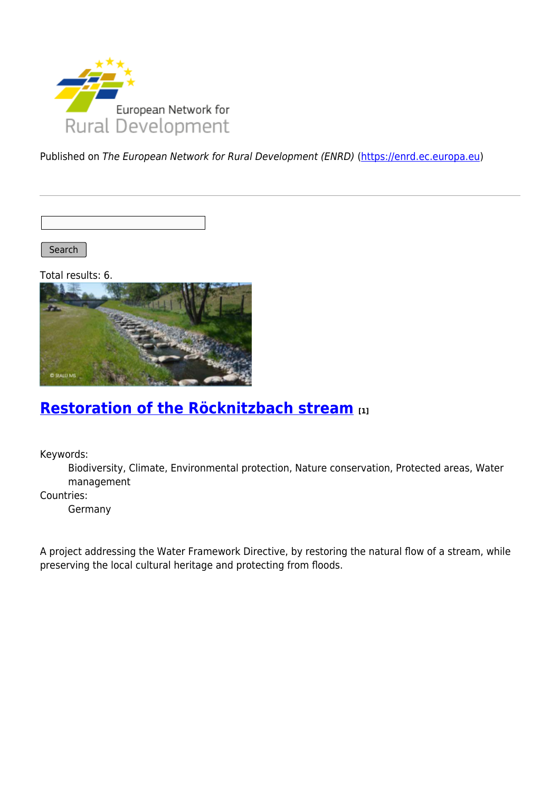

Published on The European Network for Rural Development (ENRD) [\(https://enrd.ec.europa.eu](https://enrd.ec.europa.eu))

Search |

Total results: 6.



### **[Restoration of the Röcknitzbach stream](https://enrd.ec.europa.eu/projects-practice/restoration-rocknitzbach-stream_en) [1]**

Keywords:

Biodiversity, Climate, Environmental protection, Nature conservation, Protected areas, Water management

Countries:

Germany

A project addressing the Water Framework Directive, by restoring the natural flow of a stream, while preserving the local cultural heritage and protecting from floods.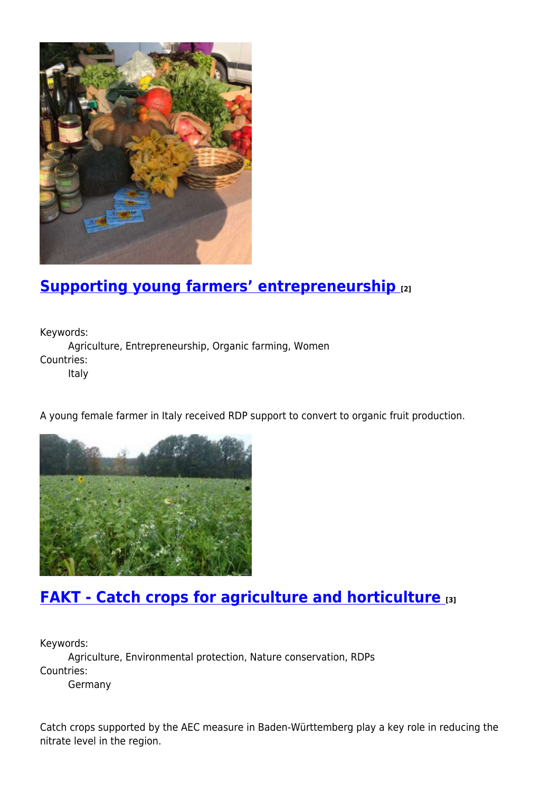

#### **[Supporting young farmers' entrepreneurship](https://enrd.ec.europa.eu/projects-practice/supporting-young-farmers-entrepreneurship_en) [2]**

Keywords: Agriculture, Entrepreneurship, Organic farming, Women Countries: Italy

A young female farmer in Italy received RDP support to convert to organic fruit production.



### **[FAKT - Catch crops for agriculture and horticulture](https://enrd.ec.europa.eu/projects-practice/fakt-catch-crops-agriculture-and-horticulture_en) [3]**

Keywords: Agriculture, Environmental protection, Nature conservation, RDPs Countries: Germany

Catch crops supported by the AEC measure in Baden-Württemberg play a key role in reducing the nitrate level in the region.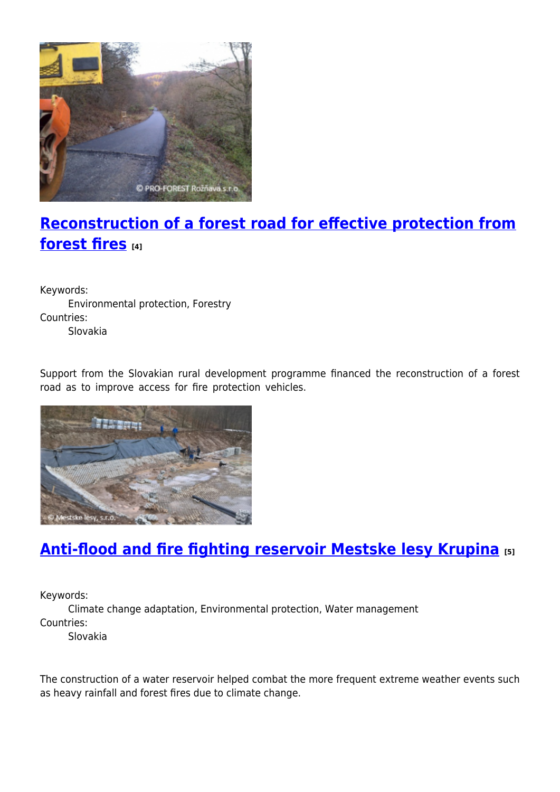

# **[Reconstruction of a forest road for effective protection from](https://enrd.ec.europa.eu/projects-practice/reconstruction-forest-road-effective-protection-forest-fires_en) [forest fires](https://enrd.ec.europa.eu/projects-practice/reconstruction-forest-road-effective-protection-forest-fires_en) [4]**

Keywords: Environmental protection, Forestry Countries: Slovakia

Support from the Slovakian rural development programme financed the reconstruction of a forest road as to improve access for fire protection vehicles.



# **[Anti-flood and fire fighting reservoir Mestske lesy Krupina](https://enrd.ec.europa.eu/projects-practice/anti-flood-and-fire-fighting-reservoir-mestske-lesy-krupina_en) [5]**

Keywords:

Climate change adaptation, Environmental protection, Water management Countries:

Slovakia

The construction of a water reservoir helped combat the more frequent extreme weather events such as heavy rainfall and forest fires due to climate change.